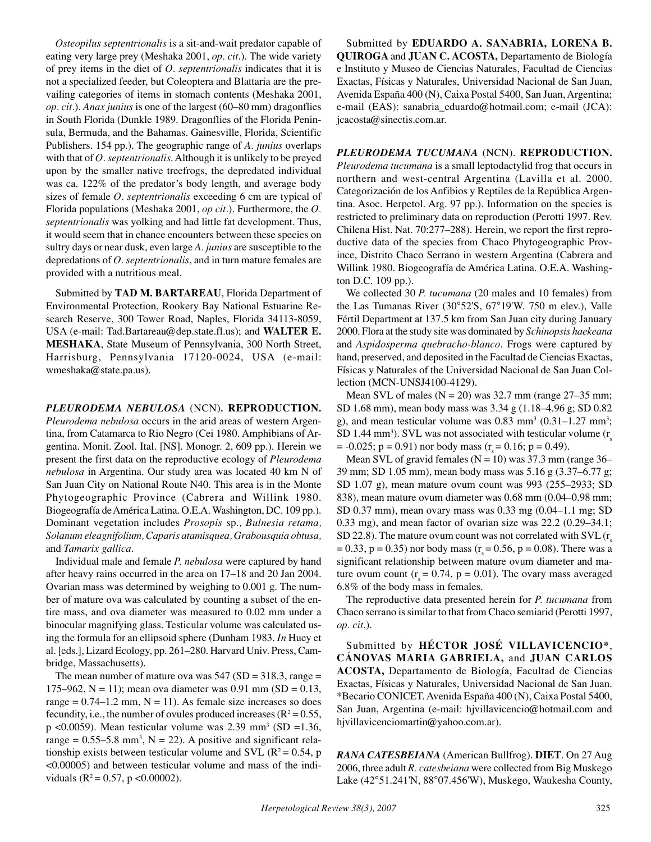*Osteopilus septentrionalis* is a sit-and-wait predator capable of eating very large prey (Meshaka 2001, *op. cit*.). The wide variety of prey items in the diet of *O. septentrionalis* indicates that it is not a specialized feeder, but Coleoptera and Blattaria are the prevailing categories of items in stomach contents (Meshaka 2001, *op. cit.*). *Anax junius* is one of the largest (60–80 mm) dragonflies in South Florida (Dunkle 1989. Dragonflies of the Florida Peninsula, Bermuda, and the Bahamas. Gainesville, Florida, Scientific Publishers. 154 pp.). The geographic range of *A. junius* overlaps with that of *O. septentrionalis*. Although it is unlikely to be preyed upon by the smaller native treefrogs, the depredated individual was ca. 122% of the predator's body length, and average body sizes of female *O. septentrionalis* exceeding 6 cm are typical of Florida populations (Meshaka 2001, *op cit*.). Furthermore, the *O. septentrionalis* was yolking and had little fat development. Thus, it would seem that in chance encounters between these species on sultry days or near dusk, even large *A. junius* are susceptible to the depredations of *O. septentrionalis*, and in turn mature females are provided with a nutritious meal.

Submitted by **TAD M. BARTAREAU**, Florida Department of Environmental Protection, Rookery Bay National Estuarine Research Reserve, 300 Tower Road, Naples, Florida 34113-8059, USA (e-mail: Tad.Bartareau@dep.state.fl.us); and **WALTER E. MESHAKA**, State Museum of Pennsylvania, 300 North Street, Harrisburg, Pennsylvania 17120-0024, USA (e-mail: wmeshaka@state.pa.us).

*PLEURODEMA NEBULOSA* (NCN)*.* **REPRODUCTION.**

*Pleurodema nebulosa* occurs in the arid areas of western Argentina, from Catamarca to Rio Negro (Cei 1980. Amphibians of Argentina. Monit. Zool. Ital. [NS]. Monogr. 2, 609 pp.). Herein we present the first data on the reproductive ecology of *Pleurodema nebulosa* in Argentina. Our study area was located 40 km N of San Juan City on National Route N40. This area is in the Monte Phytogeographic Province (Cabrera and Willink 1980. Biogeografía de América Latina. O.E.A. Washington, DC. 109 pp.). Dominant vegetation includes *Prosopis* sp.*, Bulnesia retama, Solanum eleagnifolium, Caparis atamisquea, Grabousquia obtusa,* and *Tamarix gallica*.

Individual male and female *P. nebulosa* were captured by hand after heavy rains occurred in the area on 17–18 and 20 Jan 2004. Ovarian mass was determined by weighing to 0.001 g. The number of mature ova was calculated by counting a subset of the entire mass, and ova diameter was measured to 0.02 mm under a binocular magnifying glass. Testicular volume was calculated using the formula for an ellipsoid sphere (Dunham 1983. *In* Huey et al. [eds.], Lizard Ecology, pp. 261–280. Harvard Univ. Press, Cambridge, Massachusetts).

The mean number of mature ova was  $547$  (SD = 318.3, range = 175–962, N = 11); mean ova diameter was 0.91 mm (SD = 0.13, range =  $0.74$ –1.2 mm, N = 11). As female size increases so does fecundity, i.e., the number of ovules produced increases ( $R^2 = 0.55$ , p <0.0059). Mean testicular volume was  $2.39 \text{ mm}^3$  (SD =1.36, range =  $0.55-5.8$  mm<sup>3</sup>, N = 22). A positive and significant relationship exists between testicular volume and SVL ( $R^2 = 0.54$ , p <0.00005) and between testicular volume and mass of the individuals ( $R^2 = 0.57$ , p < 0.00002).

Submitted by **EDUARDO A. SANABRIA, LORENA B. QUIROGA** and **JUAN C. ACOSTA,** Departamento de Biología e Instituto y Museo de Ciencias Naturales, Facultad de Ciencias Exactas, Físicas y Naturales, Universidad Nacional de San Juan, Avenida España 400 (N), Caixa Postal 5400, San Juan, Argentina; e-mail (EAS): sanabria\_eduardo@hotmail.com; e-mail (JCA): jcacosta@sinectis.com.ar.

*PLEURODEMA TUCUMANA* (NCN). **REPRODUCTION.**

*Pleurodema tucumana* is a small leptodactylid frog that occurs in northern and west-central Argentina (Lavilla et al. 2000. Categorización de los Anfibios y Reptiles de la República Argentina. Asoc. Herpetol. Arg. 97 pp.). Information on the species is restricted to preliminary data on reproduction (Perotti 1997. Rev. Chilena Hist. Nat. 70:277–288). Herein, we report the first reproductive data of the species from Chaco Phytogeographic Province, Distrito Chaco Serrano in western Argentina (Cabrera and Willink 1980. Biogeografía de América Latina. O.E.A. Washington D.C. 109 pp.).

We collected 30 *P. tucumana* (20 males and 10 females) from the Las Tumanas River (30°52'S, 67°19'W. 750 m elev.), Valle Fértil Department at 137.5 km from San Juan city during January 2000. Flora at the study site was dominated by *Schinopsis haekeana* and *Aspidosperma quebracho-blanco*. Frogs were captured by hand, preserved, and deposited in the Facultad de Ciencias Exactas, Físicas y Naturales of the Universidad Nacional de San Juan Collection (MCN-UNSJ4100-4129).

Mean SVL of males ( $N = 20$ ) was 32.7 mm (range 27–35 mm; SD 1.68 mm), mean body mass was 3.34 g (1.18–4.96 g; SD 0.82 g), and mean testicular volume was  $0.83 \text{ mm}^3$  ( $0.31 - 1.27 \text{ mm}^3$ ; SD 1.44 mm<sup>3</sup>). SVL was not associated with testicular volume  $(r<sub>s</sub>$  $= -0.025$ ; p = 0.91) nor body mass (r = 0.16; p = 0.49).

Mean SVL of gravid females ( $N = 10$ ) was 37.3 mm (range 36– 39 mm; SD 1.05 mm), mean body mass was 5.16 g (3.37–6.77 g; SD 1.07 g), mean mature ovum count was 993 (255–2933; SD 838), mean mature ovum diameter was 0.68 mm (0.04–0.98 mm; SD 0.37 mm), mean ovary mass was 0.33 mg (0.04–1.1 mg; SD 0.33 mg), and mean factor of ovarian size was 22.2 (0.29–34.1; SD 22.8). The mature ovum count was not correlated with  $SVL(r)$  $(1.33, p = 0.35)$  nor body mass (r = 0.56, p = 0.08). There was a significant relationship between mature ovum diameter and mature ovum count ( $r = 0.74$ ,  $p = 0.01$ ). The ovary mass averaged 6.8% of the body mass in females.

The reproductive data presented herein for *P. tucumana* from Chaco serrano is similar to that from Chaco semiarid (Perotti 1997, *op. cit*.).

Submitted by **HÉCTOR JOSÉ VILLAVICENCIO\***, **CÁNOVAS MARIA GABRIELA,** and **JUAN CARLOS ACOSTA,** Departamento de Biología, Facultad de Ciencias Exactas, Físicas y Naturales, Universidad Nacional de San Juan. \*Becario CONICET. Avenida España 400 (N), Caixa Postal 5400, San Juan, Argentina (e-mail: hjvillavicencio@hotmail.com and hjvillavicenciomartin@yahoo.com.ar).

*RANA CATESBEIANA* (American Bullfrog). **DIET**. On 27 Aug 2006, three adult *R. catesbeiana* were collected from Big Muskego Lake (42°51.241'N, 88°07.456'W), Muskego, Waukesha County,